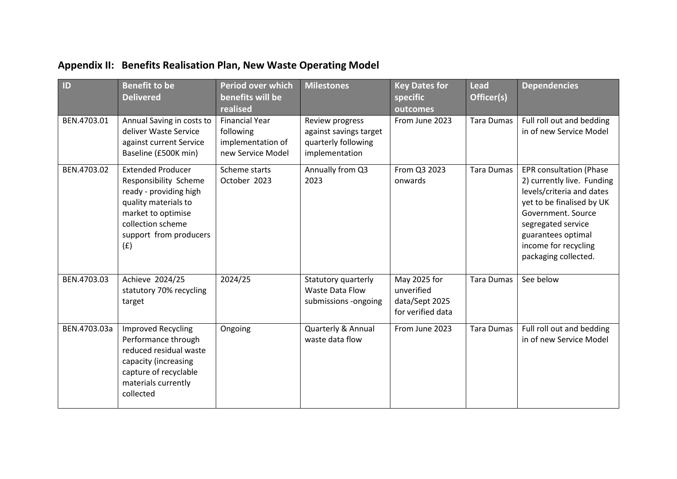| ID           | <b>Benefit to be</b><br><b>Delivered</b>                                                                                                                                        | Period over which<br>benefits will be<br>realised                            | <b>Milestones</b>                                                                  | <b>Key Dates for</b><br>specific<br>outcomes                      | <b>Lead</b><br>Officer(s) | <b>Dependencies</b>                                                                                                                                                                                                                      |
|--------------|---------------------------------------------------------------------------------------------------------------------------------------------------------------------------------|------------------------------------------------------------------------------|------------------------------------------------------------------------------------|-------------------------------------------------------------------|---------------------------|------------------------------------------------------------------------------------------------------------------------------------------------------------------------------------------------------------------------------------------|
| BEN.4703.01  | Annual Saving in costs to<br>deliver Waste Service<br>against current Service<br>Baseline (£500K min)                                                                           | <b>Financial Year</b><br>following<br>implementation of<br>new Service Model | Review progress<br>against savings target<br>quarterly following<br>implementation | From June 2023                                                    | <b>Tara Dumas</b>         | Full roll out and bedding<br>in of new Service Model                                                                                                                                                                                     |
| BEN.4703.02  | <b>Extended Producer</b><br>Responsibility Scheme<br>ready - providing high<br>quality materials to<br>market to optimise<br>collection scheme<br>support from producers<br>(f) | Scheme starts<br>October 2023                                                | Annually from Q3<br>2023                                                           | From Q3 2023<br>onwards                                           | <b>Tara Dumas</b>         | <b>EPR</b> consultation (Phase<br>2) currently live. Funding<br>levels/criteria and dates<br>yet to be finalised by UK<br>Government, Source<br>segregated service<br>guarantees optimal<br>income for recycling<br>packaging collected. |
| BEN.4703.03  | Achieve 2024/25<br>statutory 70% recycling<br>target                                                                                                                            | 2024/25                                                                      | Statutory quarterly<br>Waste Data Flow<br>submissions -ongoing                     | May 2025 for<br>unverified<br>data/Sept 2025<br>for verified data | <b>Tara Dumas</b>         | See below                                                                                                                                                                                                                                |
| BEN.4703.03a | <b>Improved Recycling</b><br>Performance through<br>reduced residual waste<br>capacity (increasing<br>capture of recyclable<br>materials currently<br>collected                 | Ongoing                                                                      | Quarterly & Annual<br>waste data flow                                              | From June 2023                                                    | <b>Tara Dumas</b>         | Full roll out and bedding<br>in of new Service Model                                                                                                                                                                                     |

## **Appendix II: Benefits Realisation Plan, New Waste Operating Model**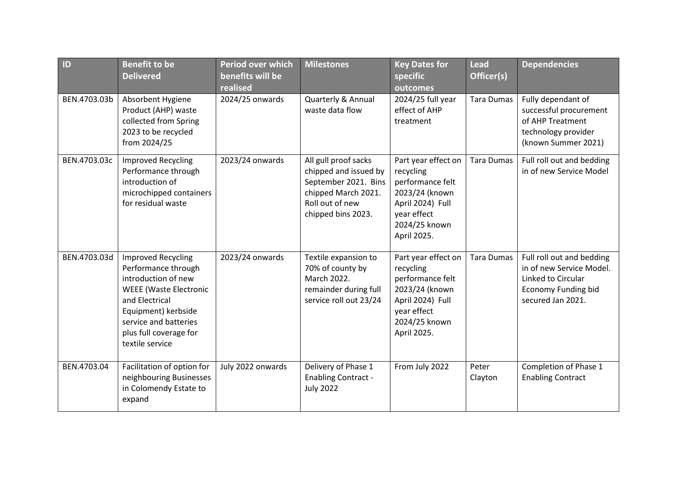| ID           | <b>Benefit to be</b><br><b>Delivered</b>                                                                                                                                                                                | <b>Period over which</b><br>benefits will be<br>realised | <b>Milestones</b>                                                                                                                     | <b>Key Dates for</b><br>specific<br>outcomes                                                                                              | <b>Lead</b><br>Officer(s) | <b>Dependencies</b>                                                                                                            |
|--------------|-------------------------------------------------------------------------------------------------------------------------------------------------------------------------------------------------------------------------|----------------------------------------------------------|---------------------------------------------------------------------------------------------------------------------------------------|-------------------------------------------------------------------------------------------------------------------------------------------|---------------------------|--------------------------------------------------------------------------------------------------------------------------------|
| BEN.4703.03b | Absorbent Hygiene<br>Product (AHP) waste<br>collected from Spring<br>2023 to be recycled<br>from 2024/25                                                                                                                | 2024/25 onwards                                          | Quarterly & Annual<br>waste data flow                                                                                                 | 2024/25 full year<br>effect of AHP<br>treatment                                                                                           | <b>Tara Dumas</b>         | Fully dependant of<br>successful procurement<br>of AHP Treatment<br>technology provider<br>(known Summer 2021)                 |
| BEN.4703.03c | <b>Improved Recycling</b><br>Performance through<br>introduction of<br>microchipped containers<br>for residual waste                                                                                                    | 2023/24 onwards                                          | All gull proof sacks<br>chipped and issued by<br>September 2021. Bins<br>chipped March 2021.<br>Roll out of new<br>chipped bins 2023. | Part year effect on<br>recycling<br>performance felt<br>2023/24 (known<br>April 2024) Full<br>year effect<br>2024/25 known<br>April 2025. | <b>Tara Dumas</b>         | Full roll out and bedding<br>in of new Service Model                                                                           |
| BEN.4703.03d | <b>Improved Recycling</b><br>Performance through<br>introduction of new<br><b>WEEE</b> (Waste Electronic<br>and Electrical<br>Equipment) kerbside<br>service and batteries<br>plus full coverage for<br>textile service | 2023/24 onwards                                          | Textile expansion to<br>70% of county by<br>March 2022.<br>remainder during full<br>service roll out 23/24                            | Part year effect on<br>recycling<br>performance felt<br>2023/24 (known<br>April 2024) Full<br>year effect<br>2024/25 known<br>April 2025. | <b>Tara Dumas</b>         | Full roll out and bedding<br>in of new Service Model.<br>Linked to Circular<br><b>Economy Funding bid</b><br>secured Jan 2021. |
| BEN.4703.04  | Facilitation of option for<br>neighbouring Businesses<br>in Colomendy Estate to<br>expand                                                                                                                               | July 2022 onwards                                        | Delivery of Phase 1<br><b>Enabling Contract -</b><br><b>July 2022</b>                                                                 | From July 2022                                                                                                                            | Peter<br>Clayton          | Completion of Phase 1<br><b>Enabling Contract</b>                                                                              |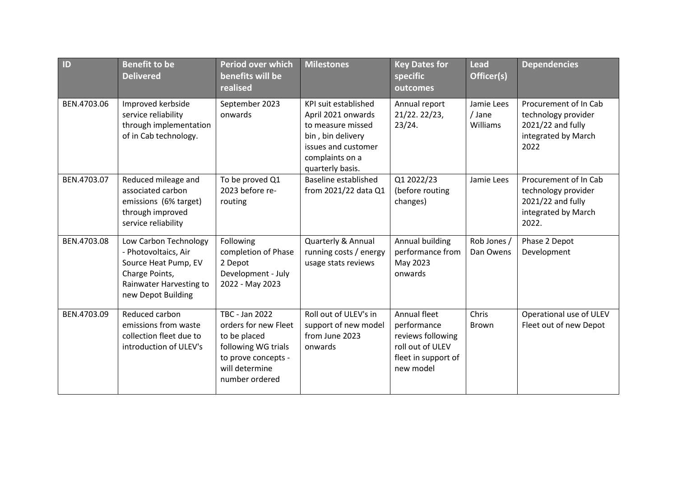| ID          | <b>Benefit to be</b><br><b>Delivered</b>                                                                                                 | Period over which<br>benefits will be<br>realised                                                                                        | <b>Milestones</b>                                                                                                                                  | <b>Key Dates for</b><br>specific<br>outcomes                                                             | <b>Lead</b><br>Officer(s)        | <b>Dependencies</b>                                                                               |
|-------------|------------------------------------------------------------------------------------------------------------------------------------------|------------------------------------------------------------------------------------------------------------------------------------------|----------------------------------------------------------------------------------------------------------------------------------------------------|----------------------------------------------------------------------------------------------------------|----------------------------------|---------------------------------------------------------------------------------------------------|
| BEN.4703.06 | Improved kerbside<br>service reliability<br>through implementation<br>of in Cab technology.                                              | September 2023<br>onwards                                                                                                                | KPI suit established<br>April 2021 onwards<br>to measure missed<br>bin, bin delivery<br>issues and customer<br>complaints on a<br>quarterly basis. | Annual report<br>21/22. 22/23,<br>23/24.                                                                 | Jamie Lees<br>/ Jane<br>Williams | Procurement of In Cab<br>technology provider<br>2021/22 and fully<br>integrated by March<br>2022  |
| BEN.4703.07 | Reduced mileage and<br>associated carbon<br>emissions (6% target)<br>through improved<br>service reliability                             | To be proved Q1<br>2023 before re-<br>routing                                                                                            | <b>Baseline established</b><br>from 2021/22 data Q1                                                                                                | Q1 2022/23<br>(before routing<br>changes)                                                                | Jamie Lees                       | Procurement of In Cab<br>technology provider<br>2021/22 and fully<br>integrated by March<br>2022. |
| BEN.4703.08 | Low Carbon Technology<br>- Photovoltaics, Air<br>Source Heat Pump, EV<br>Charge Points,<br>Rainwater Harvesting to<br>new Depot Building | Following<br>completion of Phase<br>2 Depot<br>Development - July<br>2022 - May 2023                                                     | Quarterly & Annual<br>running costs / energy<br>usage stats reviews                                                                                | Annual building<br>performance from<br>May 2023<br>onwards                                               | Rob Jones /<br>Dan Owens         | Phase 2 Depot<br>Development                                                                      |
| BEN.4703.09 | Reduced carbon<br>emissions from waste<br>collection fleet due to<br>introduction of ULEV's                                              | TBC - Jan 2022<br>orders for new Fleet<br>to be placed<br>following WG trials<br>to prove concepts -<br>will determine<br>number ordered | Roll out of ULEV's in<br>support of new model<br>from June 2023<br>onwards                                                                         | Annual fleet<br>performance<br>reviews following<br>roll out of ULEV<br>fleet in support of<br>new model | Chris<br>Brown                   | Operational use of ULEV<br>Fleet out of new Depot                                                 |